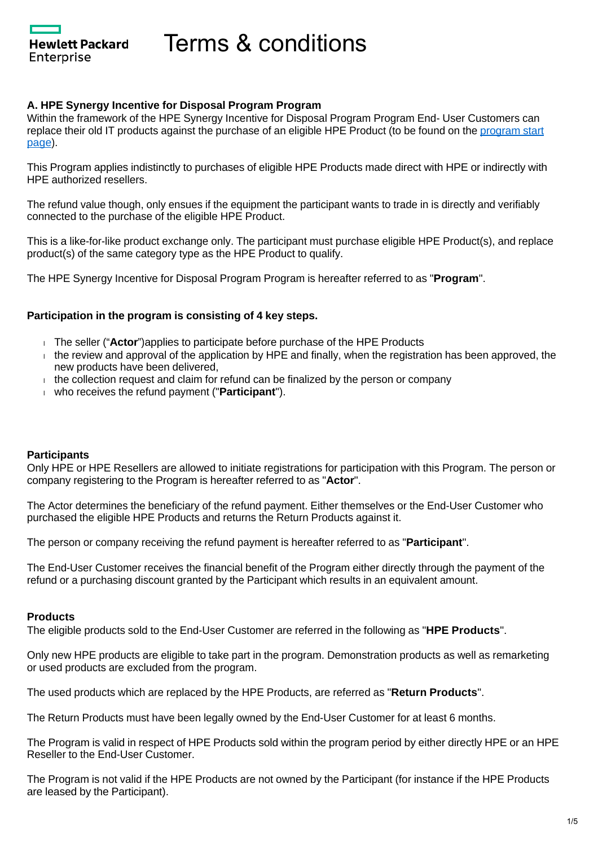Hewlett Packard Enterprise

Terms & conditions

#### **A. HPE Synergy Incentive for Disposal Program Program**

Within the framework of the HPE Synergy Incentive for Disposal Program Program End- User Customers can replace their old IT products against the purchase of an eligible HPE Product (to be found on the [program start](https://promotions.ext.hpe.com/WMCF.Web/mt/en/promotion/20139/?ocugid=)  [page](https://promotions.ext.hpe.com/WMCF.Web/mt/en/promotion/20139/?ocugid=)).

This Program applies indistinctly to purchases of eligible HPE Products made direct with HPE or indirectly with HPE authorized resellers.

The refund value though, only ensues if the equipment the participant wants to trade in is directly and verifiably connected to the purchase of the eligible HPE Product.

This is a like-for-like product exchange only. The participant must purchase eligible HPE Product(s), and replace product(s) of the same category type as the HPE Product to qualify.

The HPE Synergy Incentive for Disposal Program Program is hereafter referred to as "**Program**".

#### **Participation in the program is consisting of 4 key steps.**

- The seller ("**Actor**")applies to participate before purchase of the HPE Products
- $\pm$  the review and approval of the application by HPE and finally, when the registration has been approved, the new products have been delivered,
- $t$  the collection request and claim for refund can be finalized by the person or company
- who receives the refund payment ("**Participant**").

#### **Participants**

Only HPE or HPE Resellers are allowed to initiate registrations for participation with this Program. The person or company registering to the Program is hereafter referred to as "**Actor**".

The Actor determines the beneficiary of the refund payment. Either themselves or the End-User Customer who purchased the eligible HPE Products and returns the Return Products against it.

The person or company receiving the refund payment is hereafter referred to as "**Participant**".

The End-User Customer receives the financial benefit of the Program either directly through the payment of the refund or a purchasing discount granted by the Participant which results in an equivalent amount.

#### **Products**

The eligible products sold to the End-User Customer are referred in the following as "**HPE Products**".

Only new HPE products are eligible to take part in the program. Demonstration products as well as remarketing or used products are excluded from the program.

The used products which are replaced by the HPE Products, are referred as "**Return Products**".

The Return Products must have been legally owned by the End-User Customer for at least 6 months.

The Program is valid in respect of HPE Products sold within the program period by either directly HPE or an HPE Reseller to the End-User Customer.

The Program is not valid if the HPE Products are not owned by the Participant (for instance if the HPE Products are leased by the Participant).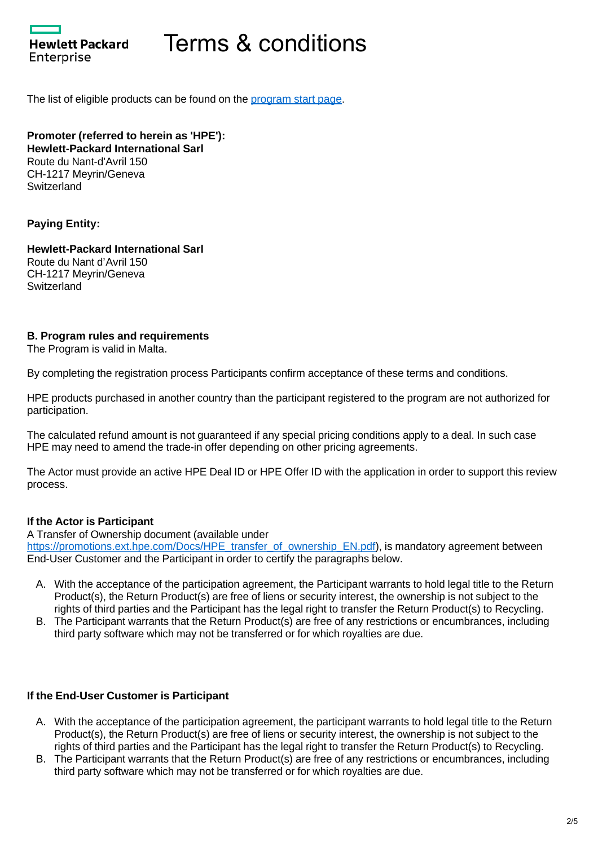Hewlett Packard Enterprise

# Terms & conditions

The list of eligible products can be found on the [program start page](https://promotions.ext.hpe.com/WMCF.Web/mt/en/promotion/20139/?ocugid=).

**Promoter (referred to herein as 'HPE'): Hewlett-Packard International Sarl** Route du Nant-d'Avril 150 CH-1217 Meyrin/Geneva **Switzerland** 

#### **Paying Entity:**

**Hewlett-Packard International Sarl** Route du Nant d'Avril 150 CH-1217 Meyrin/Geneva Switzerland

#### **B. Program rules and requirements**

The Program is valid in Malta.

By completing the registration process Participants confirm acceptance of these terms and conditions.

HPE products purchased in another country than the participant registered to the program are not authorized for participation.

The calculated refund amount is not guaranteed if any special pricing conditions apply to a deal. In such case HPE may need to amend the trade-in offer depending on other pricing agreements.

The Actor must provide an active HPE Deal ID or HPE Offer ID with the application in order to support this review process.

#### **If the Actor is Participant**

A Transfer of Ownership document (available under [https://promotions.ext.hpe.com/Docs/HPE\\_transfer\\_of\\_ownership\\_EN.pdf\)](https://promotions.ext.hpe.com/Docs/HPE_transfer_of_ownership_EN.pdf), is mandatory agreement between End-User Customer and the Participant in order to certify the paragraphs below.

- A. With the acceptance of the participation agreement, the Participant warrants to hold legal title to the Return Product(s), the Return Product(s) are free of liens or security interest, the ownership is not subject to the rights of third parties and the Participant has the legal right to transfer the Return Product(s) to Recycling.
- B. The Participant warrants that the Return Product(s) are free of any restrictions or encumbrances, including third party software which may not be transferred or for which royalties are due.

#### **If the End-User Customer is Participant**

- A. With the acceptance of the participation agreement, the participant warrants to hold legal title to the Return Product(s), the Return Product(s) are free of liens or security interest, the ownership is not subject to the rights of third parties and the Participant has the legal right to transfer the Return Product(s) to Recycling.
- B. The Participant warrants that the Return Product(s) are free of any restrictions or encumbrances, including third party software which may not be transferred or for which royalties are due.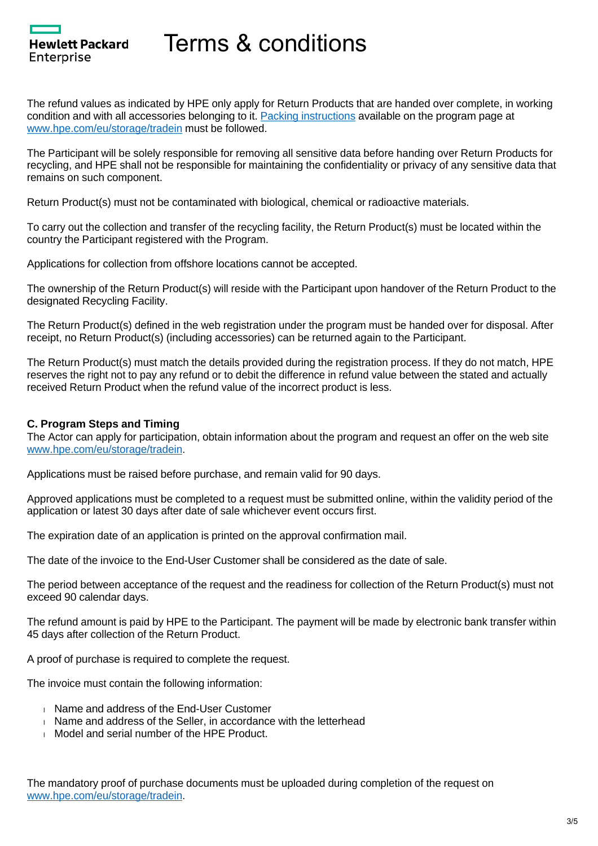

# Terms & conditions

The refund values as indicated by HPE only apply for Return Products that are handed over complete, in working condition and with all accessories belonging to it. [Packing instructions](https://promotions.ext.hpe.com/WMCF.Web/Images/HP/Cleansheet/Special/Documents/Packing%20instructions_(en)_20210-02-25.pdf) available on the program page at [www.hpe.com/eu/storage/tradein](http://www.hpe.com/eu/storage/tradein) must be followed.

The Participant will be solely responsible for removing all sensitive data before handing over Return Products for recycling, and HPE shall not be responsible for maintaining the confidentiality or privacy of any sensitive data that remains on such component.

Return Product(s) must not be contaminated with biological, chemical or radioactive materials.

To carry out the collection and transfer of the recycling facility, the Return Product(s) must be located within the country the Participant registered with the Program.

Applications for collection from offshore locations cannot be accepted.

The ownership of the Return Product(s) will reside with the Participant upon handover of the Return Product to the designated Recycling Facility.

The Return Product(s) defined in the web registration under the program must be handed over for disposal. After receipt, no Return Product(s) (including accessories) can be returned again to the Participant.

The Return Product(s) must match the details provided during the registration process. If they do not match, HPE reserves the right not to pay any refund or to debit the difference in refund value between the stated and actually received Return Product when the refund value of the incorrect product is less.

#### **C. Program Steps and Timing**

The Actor can apply for participation, obtain information about the program and request an offer on the web site [www.hpe.com/eu/storage/tradein](http://www.hpe.com/eu/storage/tradein).

Applications must be raised before purchase, and remain valid for 90 days.

Approved applications must be completed to a request must be submitted online, within the validity period of the application or latest 30 days after date of sale whichever event occurs first.

The expiration date of an application is printed on the approval confirmation mail.

The date of the invoice to the End-User Customer shall be considered as the date of sale.

The period between acceptance of the request and the readiness for collection of the Return Product(s) must not exceed 90 calendar days.

The refund amount is paid by HPE to the Participant. The payment will be made by electronic bank transfer within 45 days after collection of the Return Product.

A proof of purchase is required to complete the request.

The invoice must contain the following information:

- **Name and address of the End-User Customer**
- Name and address of the Seller, in accordance with the letterhead
- **Model and serial number of the HPE Product.**

The mandatory proof of purchase documents must be uploaded during completion of the request on [www.hpe.com/eu/storage/tradein](http://www.hpe.com/eu/storage/tradein).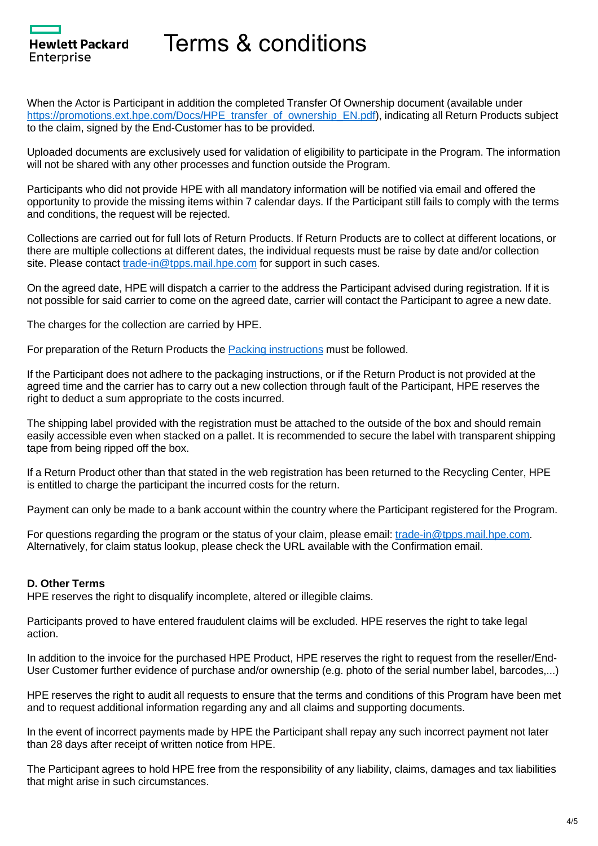

### Terms & conditions

When the Actor is Participant in addition the completed Transfer Of Ownership document (available under [https://promotions.ext.hpe.com/Docs/HPE\\_transfer\\_of\\_ownership\\_EN.pdf\)](https://promotions.ext.hpe.com/Docs/HPE_transfer_of_ownership_EN.pdf), indicating all Return Products subject to the claim, signed by the End-Customer has to be provided.

Uploaded documents are exclusively used for validation of eligibility to participate in the Program. The information will not be shared with any other processes and function outside the Program.

Participants who did not provide HPE with all mandatory information will be notified via email and offered the opportunity to provide the missing items within 7 calendar days. If the Participant still fails to comply with the terms and conditions, the request will be rejected.

Collections are carried out for full lots of Return Products. If Return Products are to collect at different locations, or there are multiple collections at different dates, the individual requests must be raise by date and/or collection site. Please contact [trade-in@tpps.mail.hpe.com](mailto:trade-in@tpps.mail.hpe.com) for support in such cases.

On the agreed date, HPE will dispatch a carrier to the address the Participant advised during registration. If it is not possible for said carrier to come on the agreed date, carrier will contact the Participant to agree a new date.

The charges for the collection are carried by HPE.

For preparation of the Return Products the [Packing instructions](https://promotions.ext.hpe.com/WMCF.Web/Images/HP/Cleansheet/Special/Documents/Packing%20instructions_(en)_20210-02-25.pdf) must be followed.

If the Participant does not adhere to the packaging instructions, or if the Return Product is not provided at the agreed time and the carrier has to carry out a new collection through fault of the Participant, HPE reserves the right to deduct a sum appropriate to the costs incurred.

The shipping label provided with the registration must be attached to the outside of the box and should remain easily accessible even when stacked on a pallet. It is recommended to secure the label with transparent shipping tape from being ripped off the box.

If a Return Product other than that stated in the web registration has been returned to the Recycling Center, HPE is entitled to charge the participant the incurred costs for the return.

Payment can only be made to a bank account within the country where the Participant registered for the Program.

For questions regarding the program or the status of your claim, please email: [trade-in@tpps.mail.hpe.com.](mailto:trade-in@tpps.mail.hpe.com) Alternatively, for claim status lookup, please check the URL available with the Confirmation email.

#### **D. Other Terms**

HPE reserves the right to disqualify incomplete, altered or illegible claims.

Participants proved to have entered fraudulent claims will be excluded. HPE reserves the right to take legal action.

In addition to the invoice for the purchased HPE Product, HPE reserves the right to request from the reseller/End-User Customer further evidence of purchase and/or ownership (e.g. photo of the serial number label, barcodes,...)

HPE reserves the right to audit all requests to ensure that the terms and conditions of this Program have been met and to request additional information regarding any and all claims and supporting documents.

In the event of incorrect payments made by HPE the Participant shall repay any such incorrect payment not later than 28 days after receipt of written notice from HPE.

The Participant agrees to hold HPE free from the responsibility of any liability, claims, damages and tax liabilities that might arise in such circumstances.